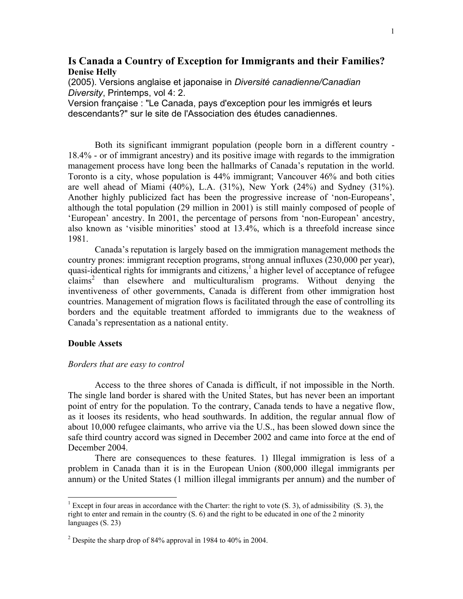# **Is Canada a Country of Exception for Immigrants and their Families? Denise Helly**

(2005). Versions anglaise et japonaise in *Diversité canadienne/Canadian Diversity*, Printemps, vol 4: 2.

Version française : "Le Canada, pays d'exception pour les immigrés et leurs descendants?" sur le site de l'Association des études canadiennes.

Both its significant immigrant population (people born in a different country - 18.4% - or of immigrant ancestry) and its positive image with regards to the immigration management process have long been the hallmarks of Canada's reputation in the world. Toronto is a city, whose population is 44% immigrant; Vancouver 46% and both cities are well ahead of Miami (40%), L.A. (31%), New York (24%) and Sydney (31%). Another highly publicized fact has been the progressive increase of 'non-Europeans', although the total population (29 million in 2001) is still mainly composed of people of 'European' ancestry. In 2001, the percentage of persons from 'non-European' ancestry, also known as 'visible minorities' stood at 13.4%, which is a threefold increase since 1981.

Canada's reputation is largely based on the immigration management methods the country prones: immigrant reception programs, strong annual influxes (230,000 per year), quasi-identical rights for immigrants and citizens, $\frac{1}{2}$  $\frac{1}{2}$  $\frac{1}{2}$  a higher level of acceptance of refugee claims<sup>[2](#page-0-1)</sup> than elsewhere and multiculturalism programs. Without denying the inventiveness of other governments, Canada is different from other immigration host countries. Management of migration flows is facilitated through the ease of controlling its borders and the equitable treatment afforded to immigrants due to the weakness of Canada's representation as a national entity.

#### **Double Assets**

 $\overline{a}$ 

## *Borders that are easy to control*

Access to the three shores of Canada is difficult, if not impossible in the North. The single land border is shared with the United States, but has never been an important point of entry for the population. To the contrary, Canada tends to have a negative flow, as it looses its residents, who head southwards. In addition, the regular annual flow of about 10,000 refugee claimants, who arrive via the U.S., has been slowed down since the safe third country accord was signed in December 2002 and came into force at the end of December 2004.

There are consequences to these features. 1) Illegal immigration is less of a problem in Canada than it is in the European Union (800,000 illegal immigrants per annum) or the United States (1 million illegal immigrants per annum) and the number of

<span id="page-0-0"></span><sup>&</sup>lt;sup>1</sup> Except in four areas in accordance with the Charter: the right to vote  $(S, 3)$ , of admissibility  $(S, 3)$ , the right to enter and remain in the country (S. 6) and the right to be educated in one of the 2 minority languages (S. 23)

<span id="page-0-1"></span><sup>&</sup>lt;sup>2</sup> Despite the sharp drop of 84% approval in 1984 to 40% in 2004.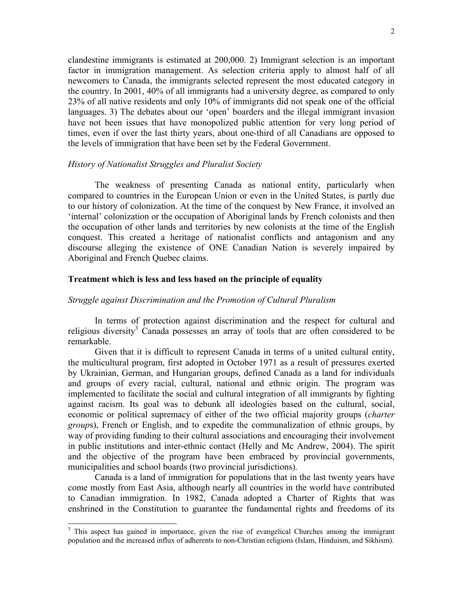clandestine immigrants is estimated at 200,000. 2) Immigrant selection is an important factor in immigration management. As selection criteria apply to almost half of all newcomers to Canada, the immigrants selected represent the most educated category in the country. In 2001, 40% of all immigrants had a university degree, as compared to only 23% of all native residents and only 10% of immigrants did not speak one of the official languages. 3) The debates about our 'open' boarders and the illegal immigrant invasion have not been issues that have monopolized public attention for very long period of times, even if over the last thirty years, about one-third of all Canadians are opposed to the levels of immigration that have been set by the Federal Government.

### *History of Nationalist Struggles and Pluralist Society*

The weakness of presenting Canada as national entity, particularly when compared to countries in the European Union or even in the United States, is partly due to our history of colonization. At the time of the conquest by New France, it involved an 'internal' colonization or the occupation of Aboriginal lands by French colonists and then the occupation of other lands and territories by new colonists at the time of the English conquest. This created a heritage of nationalist conflicts and antagonism and any discourse alleging the existence of ONE Canadian Nation is severely impaired by Aboriginal and French Quebec claims.

# **Treatment which is less and less based on the principle of equality**

#### *Struggle against Discrimination and the Promotion of Cultural Pluralism*

In terms of protection against discrimination and the respect for cultural and religious diversity<sup>[3](#page-1-0)</sup> Canada possesses an array of tools that are often considered to be remarkable.

Given that it is difficult to represent Canada in terms of a united cultural entity, the multicultural program, first adopted in October 1971 as a result of pressures exerted by Ukrainian, German, and Hungarian groups, defined Canada as a land for individuals and groups of every racial, cultural, national and ethnic origin. The program was implemented to facilitate the social and cultural integration of all immigrants by fighting against racism. Its goal was to debunk all ideologies based on the cultural, social, economic or political supremacy of either of the two official majority groups (*charter group*s), French or English, and to expedite the communalization of ethnic groups, by way of providing funding to their cultural associations and encouraging their involvement in public institutions and inter-ethnic contact (Helly and Mc Andrew, 2004). The spirit and the objective of the program have been embraced by provincial governments, municipalities and school boards (two provincial jurisdictions).

Canada is a land of immigration for populations that in the last twenty years have come mostly from East Asia, although nearly all countries in the world have contributed to Canadian immigration. In 1982, Canada adopted a Charter of Rights that was enshrined in the Constitution to guarantee the fundamental rights and freedoms of its

 $\overline{a}$ 

<span id="page-1-0"></span><sup>&</sup>lt;sup>3</sup> This aspect has gained in importance, given the rise of evangelical Churches among the immigrant population and the increased influx of adherents to non-Christian religions (Islam, Hinduism, and Sikhism).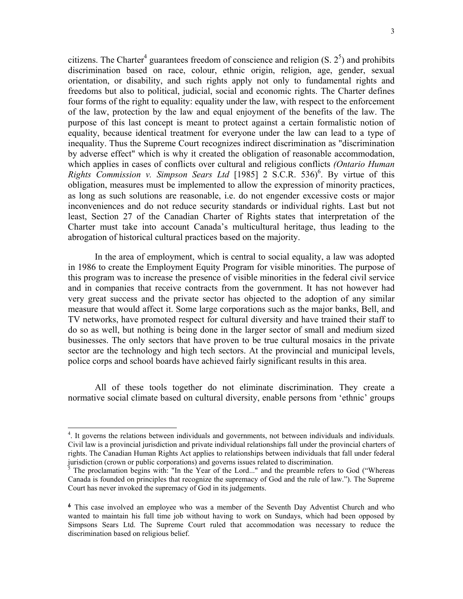citizens. The Charter<sup>[4](#page-2-0)</sup> guarantees freedom of conscience and religion  $(S, 2^5)$  and prohibits discrimination based on race, colour, ethnic origin, religion, age, gender, sexual orientation, or disability, and such rights apply not only to fundamental rights and freedoms but also to political, judicial, social and economic rights. The Charter defines four forms of the right to equality: equality under the law, with respect to the enforcement of the law, protection by the law and equal enjoyment of the benefits of the law. The purpose of this last concept is meant to protect against a certain formalistic notion of equality, because identical treatment for everyone under the law can lead to a type of inequality. Thus the Supreme Court recognizes indirect discrimination as "discrimination by adverse effect" which is why it created the obligation of reasonable accommodation, which applies in cases of conflicts over cultural and religious conflicts *(Ontario Human* Rights Commission v. Simpson Sears Ltd [1985] 2 S.C.R. 53[6](#page-2-2))<sup>6</sup>. By virtue of this obligation, measures must be implemented to allow the expression of minority practices, as long as such solutions are reasonable, i.e. do not engender excessive costs or major inconveniences and do not reduce security standards or individual rights. Last but not least, Section 27 of the Canadian Charter of Rights states that interpretation of the Charter must take into account Canada's multicultural heritage, thus leading to the abrogation of historical cultural practices based on the majority.

In the area of employment, which is central to social equality, a law was adopted in 1986 to create the Employment Equity Program for visible minorities. The purpose of this program was to increase the presence of visible minorities in the federal civil service and in companies that receive contracts from the government. It has not however had very great success and the private sector has objected to the adoption of any similar measure that would affect it. Some large corporations such as the major banks, Bell, and TV networks, have promoted respect for cultural diversity and have trained their staff to do so as well, but nothing is being done in the larger sector of small and medium sized businesses. The only sectors that have proven to be true cultural mosaics in the private sector are the technology and high tech sectors. At the provincial and municipal levels, police corps and school boards have achieved fairly significant results in this area.

All of these tools together do not eliminate discrimination. They create a normative social climate based on cultural diversity, enable persons from 'ethnic' groups

<span id="page-2-0"></span><sup>&</sup>lt;sup>4</sup>. It governs the relations between individuals and governments, not between individuals and individuals. Civil law is a provincial jurisdiction and private individual relationships fall under the provincial charters of rights. The Canadian Human Rights Act applies to relationships between individuals that fall under federal jurisdiction (crown or public corporations) and governs issues related to discrimination.

<span id="page-2-1"></span><sup>5</sup> The proclamation begins with: "In the Year of the Lord..." and the preamble refers to God ("Whereas Canada is founded on principles that recognize the supremacy of God and the rule of law."). The Supreme Court has never invoked the supremacy of God in its judgements.

<span id="page-2-2"></span>**<sup>6</sup>** This case involved an employee who was a member of the Seventh Day Adventist Church and who wanted to maintain his full time job without having to work on Sundays, which had been opposed by Simpsons Sears Ltd. The Supreme Court ruled that accommodation was necessary to reduce the discrimination based on religious belief.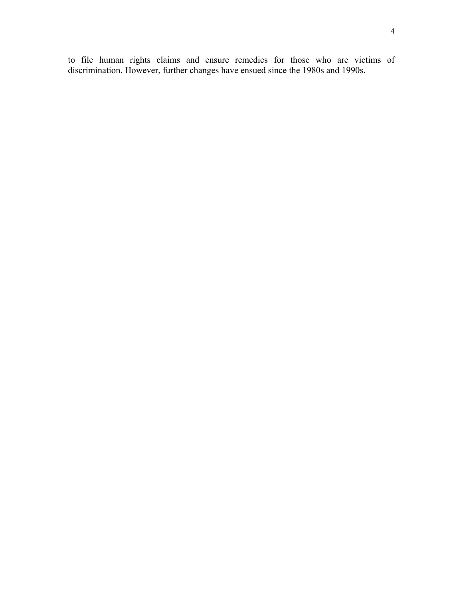to file human rights claims and ensure remedies for those who are victims of discrimination. However, further changes have ensued since the 1980s and 1990s.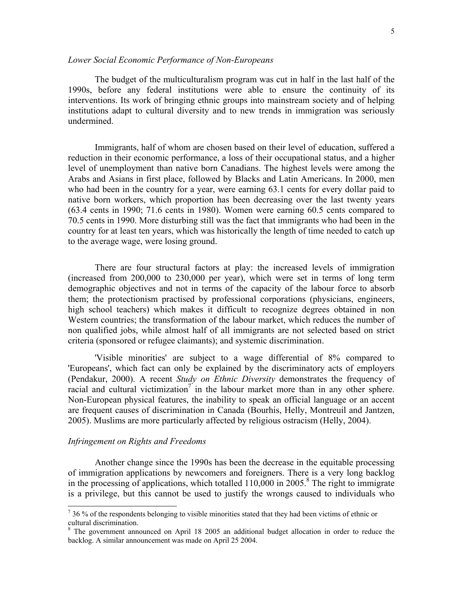The budget of the multiculturalism program was cut in half in the last half of the 1990s, before any federal institutions were able to ensure the continuity of its interventions. Its work of bringing ethnic groups into mainstream society and of helping institutions adapt to cultural diversity and to new trends in immigration was seriously undermined.

Immigrants, half of whom are chosen based on their level of education, suffered a reduction in their economic performance, a loss of their occupational status, and a higher level of unemployment than native born Canadians. The highest levels were among the Arabs and Asians in first place, followed by Blacks and Latin Americans. In 2000, men who had been in the country for a year, were earning 63.1 cents for every dollar paid to native born workers, which proportion has been decreasing over the last twenty years (63.4 cents in 1990; 71.6 cents in 1980). Women were earning 60.5 cents compared to 70.5 cents in 1990. More disturbing still was the fact that immigrants who had been in the country for at least ten years, which was historically the length of time needed to catch up to the average wage, were losing ground.

There are four structural factors at play: the increased levels of immigration (increased from 200,000 to 230,000 per year), which were set in terms of long term demographic objectives and not in terms of the capacity of the labour force to absorb them; the protectionism practised by professional corporations (physicians, engineers, high school teachers) which makes it difficult to recognize degrees obtained in non Western countries; the transformation of the labour market, which reduces the number of non qualified jobs, while almost half of all immigrants are not selected based on strict criteria (sponsored or refugee claimants); and systemic discrimination.

'Visible minorities' are subject to a wage differential of 8% compared to 'Europeans', which fact can only be explained by the discriminatory acts of employers (Pendakur, 2000). A recent *Study on Ethnic Diversity* demonstrates the frequency of racial and cultural victimization<sup>7</sup> in the labour market more than in any other sphere. Non-European physical features, the inability to speak an official language or an accent are frequent causes of discrimination in Canada (Bourhis, Helly, Montreuil and Jantzen, 2005). Muslims are more particularly affected by religious ostracism (Helly, 2004).

## *Infringement on Rights and Freedoms*

 $\overline{a}$ 

Another change since the 1990s has been the decrease in the equitable processing of immigration applications by newcomers and foreigners. There is a very long backlog in the processing of applications, which totalled 110,000 in 2005.<sup>8</sup> The right to immigrate is a privilege, but this cannot be used to justify the wrongs caused to individuals who

<span id="page-4-0"></span> $736%$  of the respondents belonging to visible minorities stated that they had been victims of ethnic or cultural discrimination.

<span id="page-4-1"></span><sup>&</sup>lt;sup>8</sup> The government announced on April 18 2005 an additional budget allocation in order to reduce the backlog. A similar announcement was made on April 25 2004.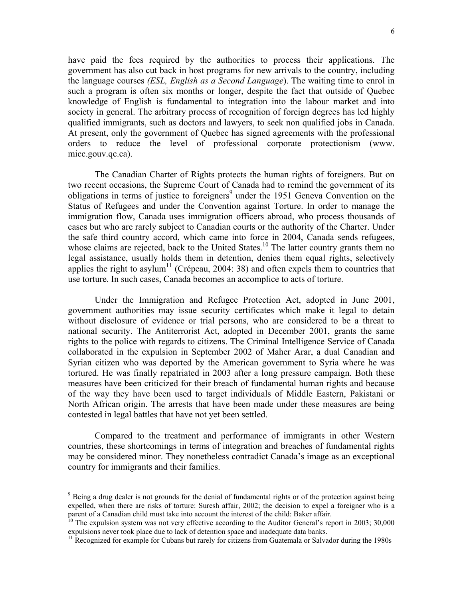have paid the fees required by the authorities to process their applications. The government has also cut back in host programs for new arrivals to the country, including the language courses *(ESL, English as a Second Language*). The waiting time to enrol in such a program is often six months or longer, despite the fact that outside of Quebec knowledge of English is fundamental to integration into the labour market and into society in general. The arbitrary process of recognition of foreign degrees has led highly qualified immigrants, such as doctors and lawyers, to seek non qualified jobs in Canada. At present, only the government of Quebec has signed agreements with the professional orders to reduce the level of professional corporate protectionism (www. micc.gouv.qc.ca).

The Canadian Charter of Rights protects the human rights of foreigners. But on two recent occasions, the Supreme Court of Canada had to remind the government of its obligations in terms of justice to foreigners<sup>9</sup> under the 1951 Geneva Convention on the Status of Refugees and under the Convention against Torture. In order to manage the immigration flow, Canada uses immigration officers abroad, who process thousands of cases but who are rarely subject to Canadian courts or the authority of the Charter. Under the safe third country accord, which came into force in 2004, Canada sends refugees, whose claims are rejected, back to the United States.<sup>10</sup> The latter country grants them no legal assistance, usually holds them in detention, denies them equal rights, selectively applies the right to asylum<sup>11</sup> (Crépeau, 2004: 38) and often expels them to countries that use torture. In such cases, Canada becomes an accomplice to acts of torture.

Under the Immigration and Refugee Protection Act, adopted in June 2001, government authorities may issue security certificates which make it legal to detain without disclosure of evidence or trial persons, who are considered to be a threat to national security. The Antiterrorist Act, adopted in December 2001, grants the same rights to the police with regards to citizens. The Criminal Intelligence Service of Canada collaborated in the expulsion in September 2002 of Maher Arar, a dual Canadian and Syrian citizen who was deported by the American government to Syria where he was tortured. He was finally repatriated in 2003 after a long pressure campaign. Both these measures have been criticized for their breach of fundamental human rights and because of the way they have been used to target individuals of Middle Eastern, Pakistani or North African origin. The arrests that have been made under these measures are being contested in legal battles that have not yet been settled.

Compared to the treatment and performance of immigrants in other Western countries, these shortcomings in terms of integration and breaches of fundamental rights may be considered minor. They nonetheless contradict Canada's image as an exceptional country for immigrants and their families.

<span id="page-5-0"></span><sup>&</sup>lt;sup>9</sup> Being a drug dealer is not grounds for the denial of fundamental rights or of the protection against being expelled, when there are risks of torture: Suresh affair, 2002; the decision to expel a foreigner who is a parent of a Canadian child must take into account the interest of the child: Baker affair.

<span id="page-5-1"></span> $10$  The expulsion system was not very effective according to the Auditor General's report in 2003; 30,000 expulsions never took place due to lack of detention space and inadequate data banks.<br><sup>11</sup> Recognized for example for Cubans but rarely for citizens from Guatemala or Salvador during the 1980s

<span id="page-5-2"></span>